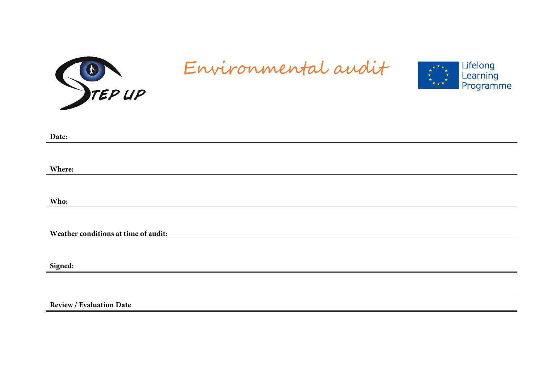

# Environmental audit



| Date:                                |
|--------------------------------------|
|                                      |
|                                      |
| Where:                               |
|                                      |
| Who:                                 |
|                                      |
|                                      |
| Weather conditions at time of audit: |
|                                      |
|                                      |
| Signed:                              |

**Review / Evaluation Date**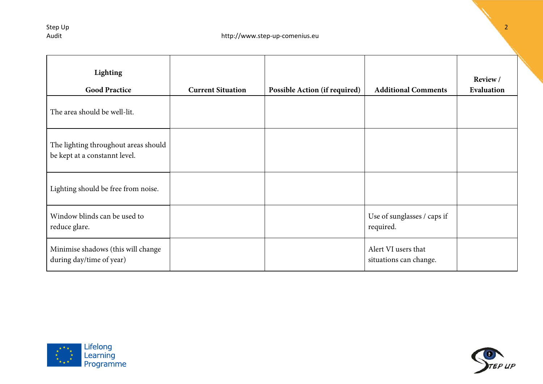| Lighting<br><b>Good Practice</b>                                      | <b>Current Situation</b> | <b>Possible Action (if required)</b> | <b>Additional Comments</b>                    | Review /<br>Evaluation |
|-----------------------------------------------------------------------|--------------------------|--------------------------------------|-----------------------------------------------|------------------------|
| The area should be well-lit.                                          |                          |                                      |                                               |                        |
| The lighting throughout areas should<br>be kept at a constannt level. |                          |                                      |                                               |                        |
| Lighting should be free from noise.                                   |                          |                                      |                                               |                        |
| Window blinds can be used to<br>reduce glare.                         |                          |                                      | Use of sunglasses / caps if<br>required.      |                        |
| Minimise shadows (this will change<br>during day/time of year)        |                          |                                      | Alert VI users that<br>situations can change. |                        |



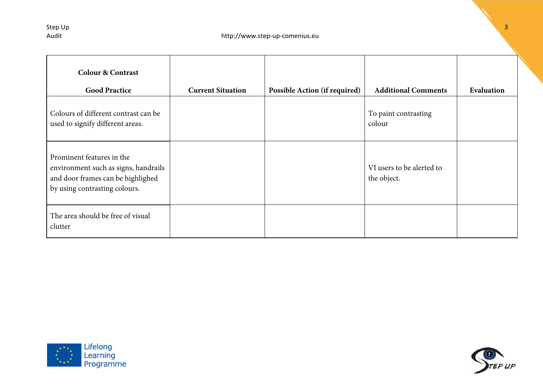| <b>Colour &amp; Contrast</b><br><b>Good Practice</b>                                                                                    | <b>Current Situation</b> | Possible Action (if required) | <b>Additional Comments</b>               | Evaluation |
|-----------------------------------------------------------------------------------------------------------------------------------------|--------------------------|-------------------------------|------------------------------------------|------------|
| Colours of different contrast can be<br>used to signify different areas.                                                                |                          |                               | To paint contrasting<br>colour           |            |
| Prominent features in the<br>environment such as signs, handrails<br>and door frames can be highlighed<br>by using contrasting colours. |                          |                               | VI users to be alerted to<br>the object. |            |
| The area should be free of visual<br>clutter                                                                                            |                          |                               |                                          |            |



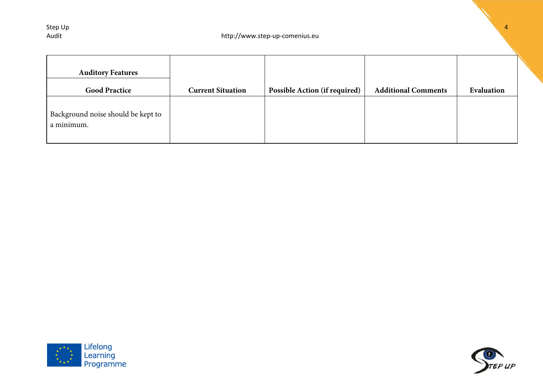| <b>Auditory Features</b><br><b>Good Practice</b> | <b>Current Situation</b> | <b>Possible Action (if required)</b> | <b>Additional Comments</b> | Evaluation |
|--------------------------------------------------|--------------------------|--------------------------------------|----------------------------|------------|
| Background noise should be kept to<br>a minimum. |                          |                                      |                            |            |



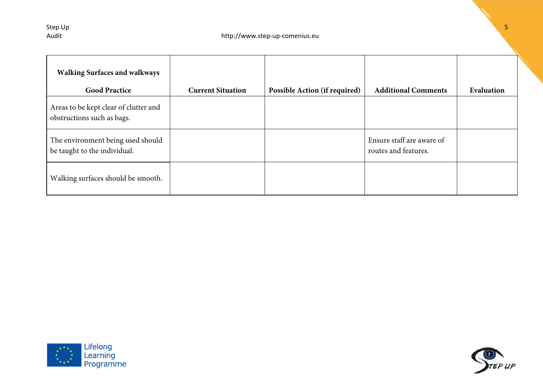| <b>Walking Surfaces and walkways</b><br><b>Good Practice</b>        | <b>Current Situation</b> | <b>Possible Action (if required)</b> | <b>Additional Comments</b>                        | Evaluation |
|---------------------------------------------------------------------|--------------------------|--------------------------------------|---------------------------------------------------|------------|
| Areas to be kept clear of clutter and<br>obstructions such as bags. |                          |                                      |                                                   |            |
| The environment being used should<br>be taught to the individual.   |                          |                                      | Ensure staff are aware of<br>routes and features. |            |
| Walking surfaces should be smooth.                                  |                          |                                      |                                                   |            |



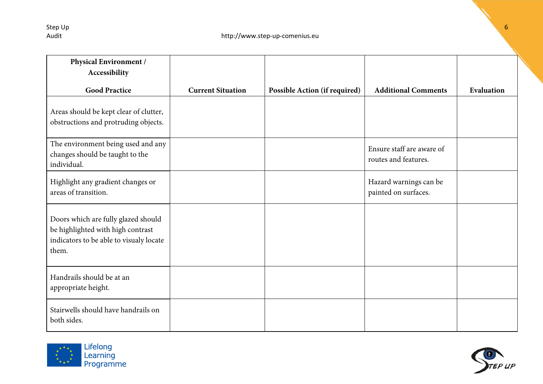| Physical Environment /<br>Accessibility                                                                                      |                          |                               |                                                   |            |
|------------------------------------------------------------------------------------------------------------------------------|--------------------------|-------------------------------|---------------------------------------------------|------------|
| <b>Good Practice</b>                                                                                                         | <b>Current Situation</b> | Possible Action (if required) | <b>Additional Comments</b>                        | Evaluation |
| Areas should be kept clear of clutter,<br>obstructions and protruding objects.                                               |                          |                               |                                                   |            |
| The environment being used and any<br>changes should be taught to the<br>individual.                                         |                          |                               | Ensure staff are aware of<br>routes and features. |            |
| Highlight any gradient changes or<br>areas of transition.                                                                    |                          |                               | Hazard warnings can be<br>painted on surfaces.    |            |
| Doors which are fully glazed should<br>be highlighted with high contrast<br>indicators to be able to visualy locate<br>them. |                          |                               |                                                   |            |
| Handrails should be at an<br>appropriate height.                                                                             |                          |                               |                                                   |            |
| Stairwells should have handrails on<br>both sides.                                                                           |                          |                               |                                                   |            |



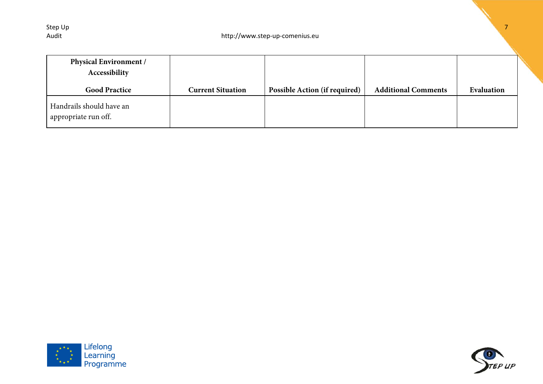| <b>Physical Environment /</b><br>Accessibility   |                          |                                      |                            |            |
|--------------------------------------------------|--------------------------|--------------------------------------|----------------------------|------------|
| <b>Good Practice</b>                             | <b>Current Situation</b> | <b>Possible Action (if required)</b> | <b>Additional Comments</b> | Evaluation |
| Handrails should have an<br>appropriate run off. |                          |                                      |                            |            |



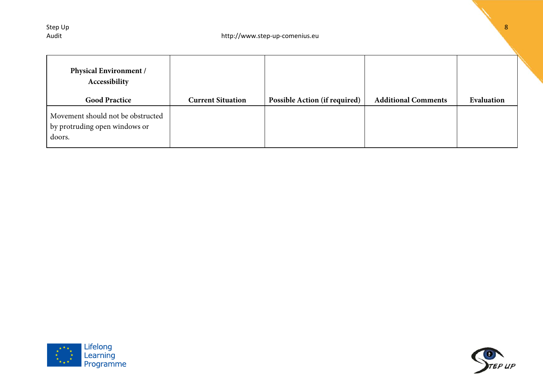| <b>Physical Environment /</b><br>Accessibility<br><b>Good Practice</b>       | <b>Current Situation</b> | <b>Possible Action (if required)</b> | <b>Additional Comments</b> | Evaluation |
|------------------------------------------------------------------------------|--------------------------|--------------------------------------|----------------------------|------------|
| Movement should not be obstructed<br>by protruding open windows or<br>doors. |                          |                                      |                            |            |